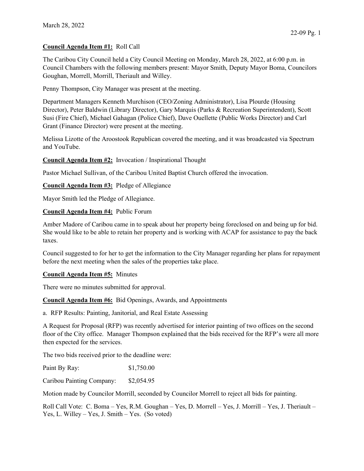## **Council Agenda Item #1:** Roll Call

The Caribou City Council held a City Council Meeting on Monday, March 28, 2022, at 6:00 p.m. in Council Chambers with the following members present: Mayor Smith, Deputy Mayor Boma, Councilors Goughan, Morrell, Morrill, Theriault and Willey.

Penny Thompson, City Manager was present at the meeting.

Department Managers Kenneth Murchison (CEO/Zoning Administrator), Lisa Plourde (Housing Director), Peter Baldwin (Library Director), Gary Marquis (Parks & Recreation Superintendent), Scott Susi (Fire Chief), Michael Gahagan (Police Chief), Dave Ouellette (Public Works Director) and Carl Grant (Finance Director) were present at the meeting.

Melissa Lizotte of the Aroostook Republican covered the meeting, and it was broadcasted via Spectrum and YouTube.

**Council Agenda Item #2:** Invocation / Inspirational Thought

Pastor Michael Sullivan, of the Caribou United Baptist Church offered the invocation.

**Council Agenda Item #3:** Pledge of Allegiance

Mayor Smith led the Pledge of Allegiance.

**Council Agenda Item #4:** Public Forum

Amber Madore of Caribou came in to speak about her property being foreclosed on and being up for bid. She would like to be able to retain her property and is working with ACAP for assistance to pay the back taxes.

Council suggested to for her to get the information to the City Manager regarding her plans for repayment before the next meeting when the sales of the properties take place.

**Council Agenda Item #5:** Minutes

There were no minutes submitted for approval.

**Council Agenda Item #6:** Bid Openings, Awards, and Appointments

a. RFP Results: Painting, Janitorial, and Real Estate Assessing

A Request for Proposal (RFP) was recently advertised for interior painting of two offices on the second floor of the City office. Manager Thompson explained that the bids received for the RFP's were all more then expected for the services.

The two bids received prior to the deadline were:

| Paint By Ray: | \$1,750.00 |
|---------------|------------|
|               |            |

Caribou Painting Company: \$2,054.95

Motion made by Councilor Morrill, seconded by Councilor Morrell to reject all bids for painting.

Roll Call Vote: C. Boma – Yes, R.M. Goughan – Yes, D. Morrell – Yes, J. Morrill – Yes, J. Theriault – Yes, L. Willey – Yes, J. Smith – Yes. (So voted)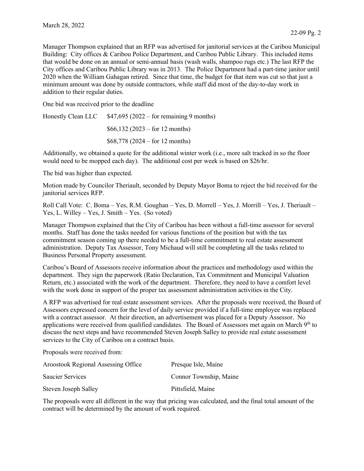Manager Thompson explained that an RFP was advertised for janitorial services at the Caribou Municipal Building: City offices & Caribou Police Department, and Caribou Public Library. This included items that would be done on an annual or semi-annual basis (wash walls, shampoo rugs etc.) The last RFP the City offices and Caribou Public Library was in 2013. The Police Department had a part-time janitor until 2020 when the William Gahagan retired. Since that time, the budget for that item was cut so that just a minimum amount was done by outside contractors, while staff did most of the day-to-day work in addition to their regular duties.

One bid was received prior to the deadline

| Honestly Clean LLC | $$47,695 (2022 - for remaining 9 months)$ |  |
|--------------------|-------------------------------------------|--|
|                    | $$66,132 (2023 - for 12 months)$          |  |
|                    | $$68,778 (2024 - for 12 months)$          |  |

Additionally, we obtained a quote for the additional winter work (i.e., more salt tracked in so the floor would need to be mopped each day). The additional cost per week is based on \$26/hr.

The bid was higher than expected.

Motion made by Councilor Theriault, seconded by Deputy Mayor Boma to reject the bid received for the janitorial services RFP.

Roll Call Vote: C. Boma – Yes, R.M. Goughan – Yes, D. Morrell – Yes, J. Morrill – Yes, J. Theriault – Yes, L. Willey – Yes, J. Smith – Yes. (So voted)

Manager Thompson explained that the City of Caribou has been without a full-time assessor for several months. Staff has done the tasks needed for various functions of the position but with the tax commitment season coming up there needed to be a full-time commitment to real estate assessment administration. Deputy Tax Assessor, Tony Michaud will still be completing all the tasks related to Business Personal Property assessment.

Caribou's Board of Assessors receive information about the practices and methodology used within the department. They sign the paperwork (Ratio Declaration, Tax Commitment and Municipal Valuation Return, etc.) associated with the work of the department. Therefore, they need to have a comfort level with the work done in support of the proper tax assessment administration activities in the City.

A RFP was advertised for real estate assessment services. After the proposals were received, the Board of Assessors expressed concern for the level of daily service provided if a full-time employee was replaced with a contract assessor. At their direction, an advertisement was placed for a Deputy Assessor. No applications were received from qualified candidates. The Board of Assessors met again on March  $9<sup>th</sup>$  to discuss the next steps and have recommended Steven Joseph Salley to provide real estate assessment services to the City of Caribou on a contract basis.

Proposals were received from:

| <b>Aroostook Regional Assessing Office</b> | Presque Isle, Maine    |
|--------------------------------------------|------------------------|
| Saucier Services                           | Connor Township, Maine |
| Steven Joseph Salley                       | Pittsfield, Maine      |

The proposals were all different in the way that pricing was calculated, and the final total amount of the contract will be determined by the amount of work required.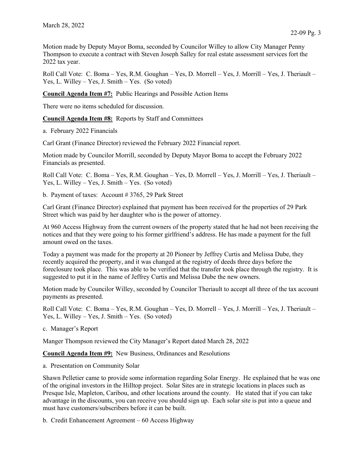Motion made by Deputy Mayor Boma, seconded by Councilor Willey to allow City Manager Penny Thompson to execute a contract with Steven Joseph Salley for real estate assessment services fort the 2022 tax year.

Roll Call Vote: C. Boma – Yes, R.M. Goughan – Yes, D. Morrell – Yes, J. Morrill – Yes, J. Theriault – Yes, L. Willey – Yes, J. Smith – Yes. (So voted)

**Council Agenda Item #7:** Public Hearings and Possible Action Items

There were no items scheduled for discussion.

**Council Agenda Item #8:** Reports by Staff and Committees

a. February 2022 Financials

Carl Grant (Finance Director) reviewed the February 2022 Financial report.

Motion made by Councilor Morrill, seconded by Deputy Mayor Boma to accept the February 2022 Financials as presented.

Roll Call Vote: C. Boma – Yes, R.M. Goughan – Yes, D. Morrell – Yes, J. Morrill – Yes, J. Theriault – Yes, L. Willey – Yes, J. Smith – Yes. (So voted)

b. Payment of taxes: Account # 3765, 29 Park Street

Carl Grant (Finance Director) explained that payment has been received for the properties of 29 Park Street which was paid by her daughter who is the power of attorney.

At 960 Access Highway from the current owners of the property stated that he had not been receiving the notices and that they were going to his former girlfriend's address. He has made a payment for the full amount owed on the taxes.

Today a payment was made for the property at 20 Pioneer by Jeffrey Curtis and Melissa Dube, they recently acquired the property, and it was changed at the registry of deeds three days before the foreclosure took place. This was able to be verified that the transfer took place through the registry. It is suggested to put it in the name of Jeffrey Curtis and Melissa Dube the new owners.

Motion made by Councilor Willey, seconded by Councilor Theriault to accept all three of the tax account payments as presented.

Roll Call Vote: C. Boma – Yes, R.M. Goughan – Yes, D. Morrell – Yes, J. Morrill – Yes, J. Theriault – Yes, L. Willey – Yes, J. Smith – Yes. (So voted)

c. Manager's Report

Manger Thompson reviewed the City Manager's Report dated March 28, 2022

**Council Agenda Item #9:** New Business, Ordinances and Resolutions

a. Presentation on Community Solar

Shawn Pelletier came to provide some information regarding Solar Energy. He explained that he was one of the original investors in the Hilltop project. Solar Sites are in strategic locations in places such as Presque Isle, Mapleton, Caribou, and other locations around the county. He stated that if you can take advantage in the discounts, you can receive you should sign up. Each solar site is put into a queue and must have customers/subscribers before it can be built.

b. Credit Enhancement Agreement – 60 Access Highway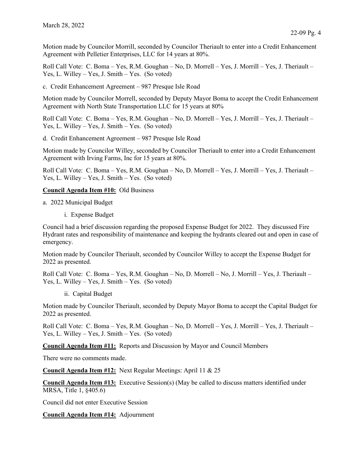Motion made by Councilor Morrill, seconded by Councilor Theriault to enter into a Credit Enhancement Agreement with Pelletier Enterprises, LLC for 14 years at 80%.

Roll Call Vote: C. Boma – Yes, R.M. Goughan – No, D. Morrell – Yes, J. Morrill – Yes, J. Theriault – Yes, L. Willey – Yes, J. Smith – Yes. (So voted)

c. Credit Enhancement Agreement – 987 Presque Isle Road

Motion made by Councilor Morrell, seconded by Deputy Mayor Boma to accept the Credit Enhancement Agreement with North State Transportation LLC for 15 years at 80%

Roll Call Vote: C. Boma – Yes, R.M. Goughan – No, D. Morrell – Yes, J. Morrill – Yes, J. Theriault – Yes, L. Willey – Yes, J. Smith – Yes. (So voted)

d. Credit Enhancement Agreement – 987 Presque Isle Road

Motion made by Councilor Willey, seconded by Councilor Theriault to enter into a Credit Enhancement Agreement with Irving Farms, Inc for 15 years at 80%.

Roll Call Vote: C. Boma – Yes, R.M. Goughan – No, D. Morrell – Yes, J. Morrill – Yes, J. Theriault – Yes, L. Willey – Yes, J. Smith – Yes. (So voted)

## **Council Agenda Item #10:** Old Business

- a. 2022 Municipal Budget
	- i. Expense Budget

Council had a brief discussion regarding the proposed Expense Budget for 2022. They discussed Fire Hydrant rates and responsibility of maintenance and keeping the hydrants cleared out and open in case of emergency.

Motion made by Councilor Theriault, seconded by Councilor Willey to accept the Expense Budget for 2022 as presented.

Roll Call Vote: C. Boma – Yes, R.M. Goughan – No, D. Morrell – No, J. Morrill – Yes, J. Theriault – Yes, L. Willey – Yes, J. Smith – Yes. (So voted)

ii. Capital Budget

Motion made by Councilor Theriault, seconded by Deputy Mayor Boma to accept the Capital Budget for 2022 as presented.

Roll Call Vote: C. Boma – Yes, R.M. Goughan – No, D. Morrell – Yes, J. Morrill – Yes, J. Theriault – Yes, L. Willey – Yes, J. Smith – Yes. (So voted)

**Council Agenda Item #11:** Reports and Discussion by Mayor and Council Members

There were no comments made.

**Council Agenda Item #12:** Next Regular Meetings: April 11 & 25

**Council Agenda Item #13:** Executive Session(s) (May be called to discuss matters identified under MRSA, Title 1, §405.6)

Council did not enter Executive Session

**Council Agenda Item #14:** Adjournment